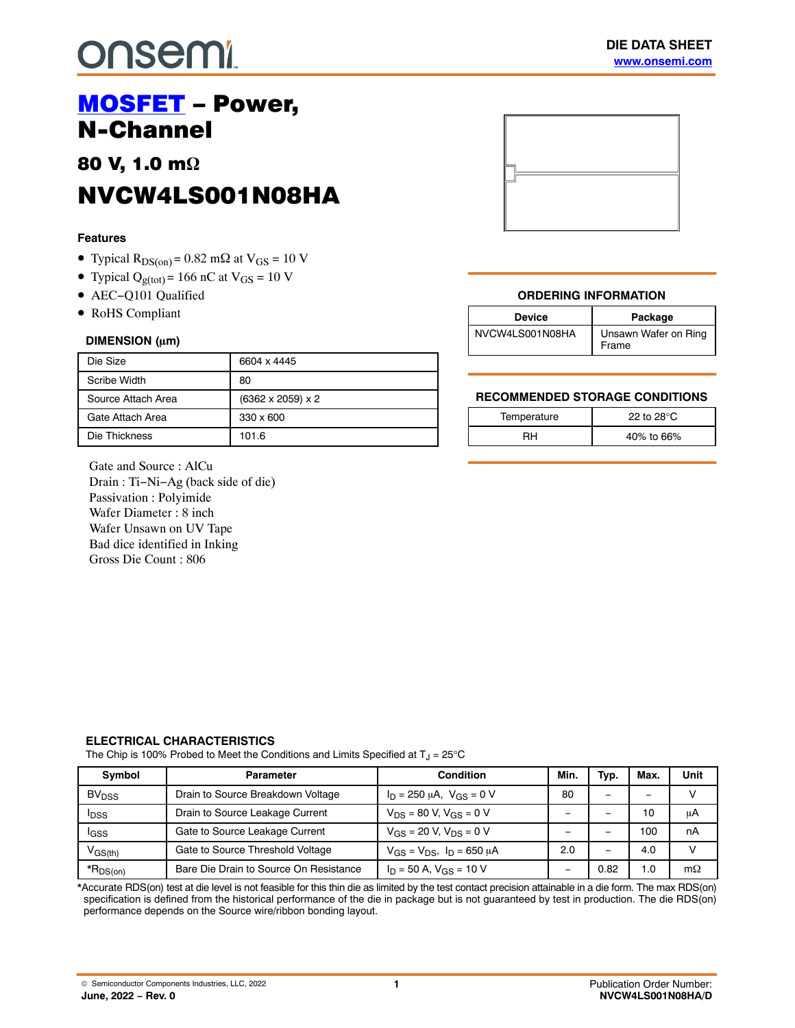# **DUSEMI**

# [MOSFET](https://www.onsemi.com/PowerSolutions/parametrics/809/products) – Power, N-Channel

## 80 V, 1.0 m**-** NVCW4LS001N08HA

## **Features**

- Typical  $R_{DS(on)} = 0.82$  m $\Omega$  at  $V_{GS} = 10$  V
- Typical  $Q_{g(tot)} = 166$  nC at  $V_{GS} = 10$  V
- AEC−Q101 Qualified
- RoHS Compliant

## **DIMENSION (m)**

| Die Size           | 6604 x 4445                   |
|--------------------|-------------------------------|
| Scribe Width       | 80                            |
| Source Attach Area | $(6362 \times 2059) \times 2$ |
| Gate Attach Area   | $330 \times 600$              |
| Die Thickness      | 101.6                         |

Gate and Source : AlCu Drain : Ti−Ni−Ag (back side of die) Passivation : Polyimide Wafer Diameter : 8 inch Wafer Unsawn on UV Tape Bad dice identified in Inking Gross Die Count : 806

| ,一个人的人都是一个人的人,但是我们的人,我们也不会不会不会。""我们的人,我们也不会不会不会不会。""我们的人,我们也不会不会不会不会。""我们的人,我们也不<br>,我们也不会有什么。""我们的人,我们也不会有什么?""我们的人,我们也不会有什么?""我们的人,我们也不会有什么?""我们的人,我们也不会有什么?""我们的人 |  |  |  |
|----------------------------------------------------------------------------------------------------------------------------------------------------------------------|--|--|--|
|                                                                                                                                                                      |  |  |  |

## **ORDERING INFORMATION**

| <b>Device</b>   | Package                       |
|-----------------|-------------------------------|
| NVCW4LS001N08HA | Unsawn Wafer on Ring<br>Frame |

## **RECOMMENDED STORAGE CONDITIONS**

| Temperature | 22 to $28^{\circ}$ C |
|-------------|----------------------|
|             | 40% to 66%           |

## **ELECTRICAL CHARACTERISTICS**

The Chip is 100% Probed to Meet the Conditions and Limits Specified at  $T_J = 25^{\circ}C$ 

| <b>Symbol</b>                           | <b>Parameter</b>                       | <b>Condition</b>                      | Min. | Typ. | Max.                     | Unit      |
|-----------------------------------------|----------------------------------------|---------------------------------------|------|------|--------------------------|-----------|
| BV <sub>DSS</sub>                       | Drain to Source Breakdown Voltage      | $I_D = 250 \mu A$ , $V_{GS} = 0 V$    | 80   | -    | $\overline{\phantom{0}}$ |           |
| <b>I</b> <sub>DSS</sub>                 | Drain to Source Leakage Current        | $V_{DS}$ = 80 V, $V_{GS}$ = 0 V       |      |      | 10                       | μA        |
| lgss                                    | Gate to Source Leakage Current         | $V_{GS}$ = 20 V, $V_{DS}$ = 0 V       |      |      | 100                      | nA        |
| $\mathsf{V}_{\mathsf{GS}(\mathsf{th})}$ | Gate to Source Threshold Voltage       | $V_{GS} = V_{DS}$ , $I_D = 650 \mu A$ | 2.0  | -    | 4.0                      |           |
| $*$ R <sub>DS(on)</sub>                 | Bare Die Drain to Source On Resistance | $I_D = 50$ A, $V_{GS} = 10$ V         |      | 0.82 | 1.0                      | $m\Omega$ |

\*Accurate RDS(on) test at die level is not feasible for this thin die as limited by the test contact precision attainable in a die form. The max RDS(on) specification is defined from the historical performance of the die in package but is not guaranteed by test in production. The die RDS(on) performance depends on the Source wire/ribbon bonding layout.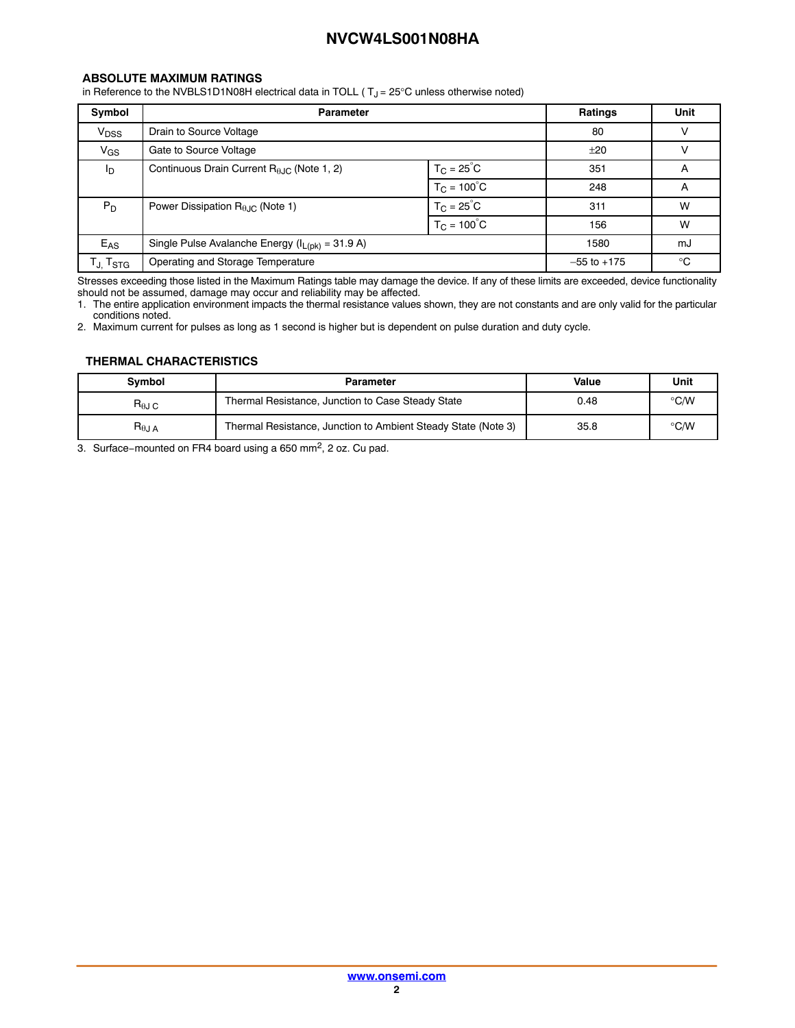#### **ABSOLUTE MAXIMUM RATINGS**

in Reference to the NVBLS1D1N08H electrical data in TOLL ( $T_J = 25^{\circ}$ C unless otherwise noted)

| Symbol             | <b>Parameter</b>                                      |                               | Ratings         | Unit |  |
|--------------------|-------------------------------------------------------|-------------------------------|-----------------|------|--|
| V <sub>DSS</sub>   | Drain to Source Voltage                               |                               | 80              |      |  |
| $V_{\rm GS}$       | Gate to Source Voltage                                |                               | ±20             |      |  |
| Ιŋ                 | Continuous Drain Current $R_{0,1}$ (Note 1, 2)        | $T_{\rm C}$ = 25 $^{\circ}$ C | 351             | A    |  |
|                    |                                                       | $T_C = 100^{\circ}C$          | 248             | A    |  |
| $P_D$              | Power Dissipation $R_{A,IC}$ (Note 1)                 | $T_{\rm C}$ = 25 $^{\circ}$ C | 311             | W    |  |
|                    |                                                       | $T_C = 100^{\circ}C$          | 156             | W    |  |
| $E_{AS}$           | Single Pulse Avalanche Energy ( $I_{L(pk)} = 31.9$ A) |                               | 1580            | mJ   |  |
| $T_{J,}$ $T_{STG}$ | Operating and Storage Temperature                     |                               | $-55$ to $+175$ | °C   |  |

Stresses exceeding those listed in the Maximum Ratings table may damage the device. If any of these limits are exceeded, device functionality should not be assumed, damage may occur and reliability may be affected.

1. The entire application environment impacts the thermal resistance values shown, they are not constants and are only valid for the particular conditions noted.

2. Maximum current for pulses as long as 1 second is higher but is dependent on pulse duration and duty cycle.

#### **THERMAL CHARACTERISTICS**

| <b>Symbol</b>             | Parameter                                                     | Value | Unit          |
|---------------------------|---------------------------------------------------------------|-------|---------------|
| $R_{\theta J\,C}$         | Thermal Resistance, Junction to Case Steady State             | 0.48  | $\degree$ C/W |
| $\mathsf{R}_{\Theta}$ J A | Thermal Resistance, Junction to Ambient Steady State (Note 3) | 35.8  | $\degree$ C/W |

3. Surface−mounted on FR4 board using a 650 mm2, 2 oz. Cu pad.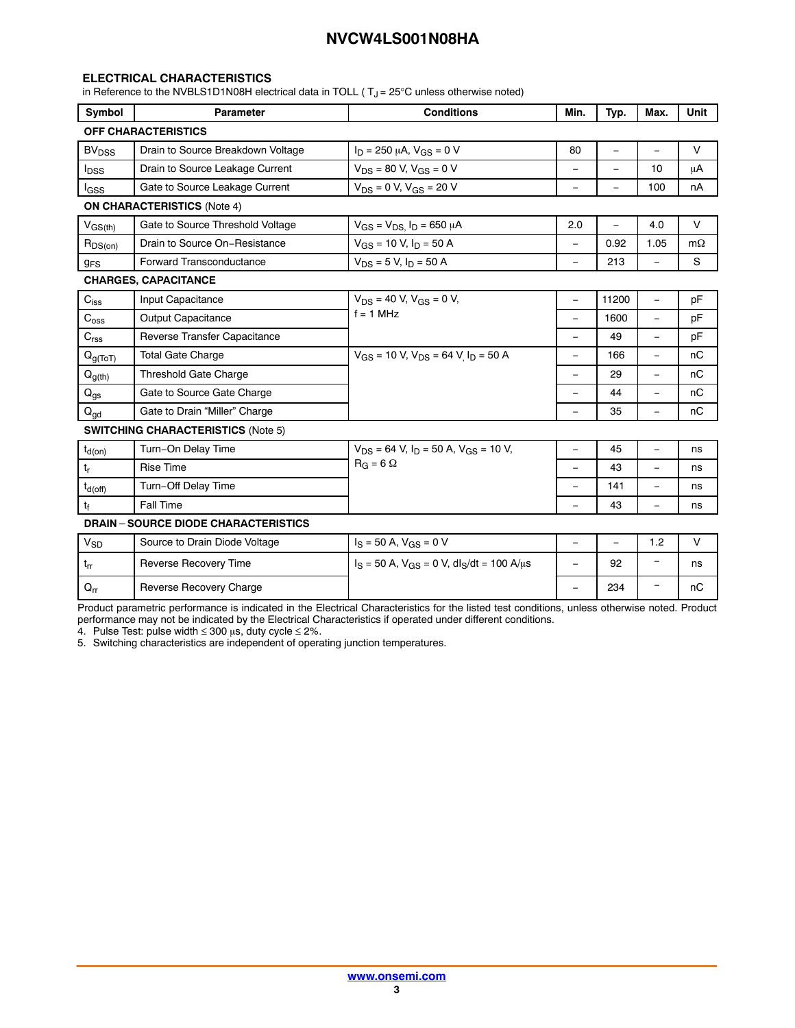## **ELECTRICAL CHARACTERISTICS**

in Reference to the NVBLS1D1N08H electrical data in TOLL ( $T_J$  = 25°C unless otherwise noted)

| Symbol                      | Parameter                                 | <b>Conditions</b>                                            | Min.                     | Typ.                     | Max.                     | Unit      |
|-----------------------------|-------------------------------------------|--------------------------------------------------------------|--------------------------|--------------------------|--------------------------|-----------|
| <b>OFF CHARACTERISTICS</b>  |                                           |                                                              |                          |                          |                          |           |
| <b>BV<sub>DSS</sub></b>     | Drain to Source Breakdown Voltage         | $I_D = 250 \mu A$ , $V_{GS} = 0 V$                           | 80                       | $\overline{\phantom{0}}$ | $\equiv$                 | V         |
| <b>l</b> <sub>DSS</sub>     | Drain to Source Leakage Current           | $V_{DS}$ = 80 V, $V_{GS}$ = 0 V                              |                          |                          | 10                       | μA        |
| l <sub>GSS</sub>            | Gate to Source Leakage Current            | $V_{DS} = 0 V$ , $V_{GS} = 20 V$                             | $\equiv$                 |                          | 100                      | nA        |
|                             | <b>ON CHARACTERISTICS (Note 4)</b>        |                                                              |                          |                          |                          |           |
| $V_{GS(th)}$                | Gate to Source Threshold Voltage          | $V_{GS} = V_{DS} I_D = 650 \mu A$                            | 2.0                      |                          | 4.0                      | V         |
| $R_{DS(on)}$                | Drain to Source On-Resistance             | $V_{GS}$ = 10 V, $I_D$ = 50 A                                | $\qquad \qquad -$        | 0.92                     | 1.05                     | $m\Omega$ |
| <b>g<sub>FS</sub></b>       | Forward Transconductance                  | $V_{DS}$ = 5 V, $I_D$ = 50 A                                 | L.                       | 213                      | $\overline{a}$           | S         |
|                             | <b>CHARGES, CAPACITANCE</b>               |                                                              |                          |                          |                          |           |
| $\mathrm{C_{iss}}$          | Input Capacitance                         | $V_{DS}$ = 40 V, $V_{GS}$ = 0 V,                             | $\equiv$                 | 11200                    | $\overline{\phantom{0}}$ | pF        |
| $C_{\rm oss}$               | <b>Output Capacitance</b>                 | $f = 1$ MHz                                                  | $\overline{\phantom{0}}$ | 1600                     | $\equiv$                 | pF        |
| C <sub>rss</sub>            | Reverse Transfer Capacitance              |                                                              | $\equiv$                 | 49                       | $\overline{\phantom{0}}$ | pF        |
| $Q_{g(ToT)}$                | <b>Total Gate Charge</b>                  | $V_{GS}$ = 10 V, $V_{DS}$ = 64 V I <sub>D</sub> = 50 A       | $\equiv$                 | 166                      | $\equiv$                 | nC        |
| $Q_{g(th)}$                 | <b>Threshold Gate Charge</b>              |                                                              | $\equiv$                 | 29                       | $\equiv$                 | nC        |
| $Q_{gs}$                    | Gate to Source Gate Charge                |                                                              | $\equiv$                 | 44                       | $\equiv$                 | nC        |
| $Q_{gd}$                    | Gate to Drain "Miller" Charge             |                                                              | $\equiv$                 | 35                       | $\equiv$                 | nC        |
|                             | <b>SWITCHING CHARACTERISTICS (Note 5)</b> |                                                              |                          |                          |                          |           |
| $t_{d(on)}$                 | Turn-On Delay Time                        | $V_{DS}$ = 64 V, $I_D$ = 50 A, $V_{GS}$ = 10 V,              | $\equiv$                 | 45                       | $\equiv$                 | ns        |
| $t_r$                       | <b>Rise Time</b>                          | $R_G = 6 \Omega$                                             | $\qquad \qquad -$        | 43                       | $\equiv$                 | ns        |
| $t_{d(off)}$                | Turn-Off Delay Time                       |                                                              | $\qquad \qquad -$        | 141                      | $\overline{\phantom{0}}$ | ns        |
| $\mathfrak{t}_{\mathsf{f}}$ | Fall Time                                 |                                                              | $\qquad \qquad -$        | 43                       | $\overline{\phantom{0}}$ | ns        |
|                             | <b>DRAIN-SOURCE DIODE CHARACTERISTICS</b> |                                                              |                          |                          |                          |           |
| <b>V<sub>SD</sub></b>       | Source to Drain Diode Voltage             | $I_S = 50$ A, $V_{GS} = 0$ V                                 | $\frac{1}{2}$            | $\overline{\phantom{0}}$ | 1.2                      | V         |
| $t_{rr}$                    | Reverse Recovery Time                     | $I_S = 50$ A, $V_{GS} = 0$ V, dl <sub>S</sub> /dt = 100 A/µs | $\overline{\phantom{0}}$ | 92                       | -                        | ns        |

Product parametric performance is indicated in the Electrical Characteristics for the listed test conditions, unless otherwise noted. Product performance may not be indicated by the Electrical Characteristics if operated under different conditions.

Q<sub>rr</sub> Reverse Recovery Charge **Figure 1** + 234 − nC

4. Pulse Test: pulse width  $\leq 300$  µs, duty cycle  $\leq 2\%$ .

5. Switching characteristics are independent of operating junction temperatures.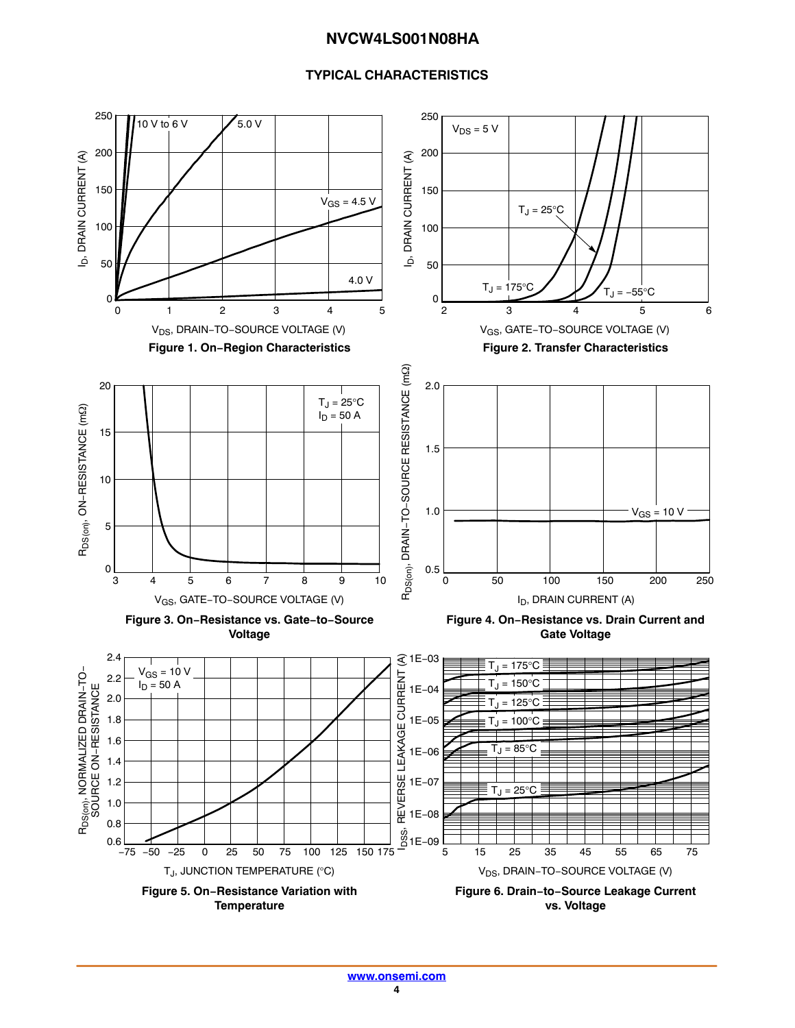## **TYPICAL CHARACTERISTICS**

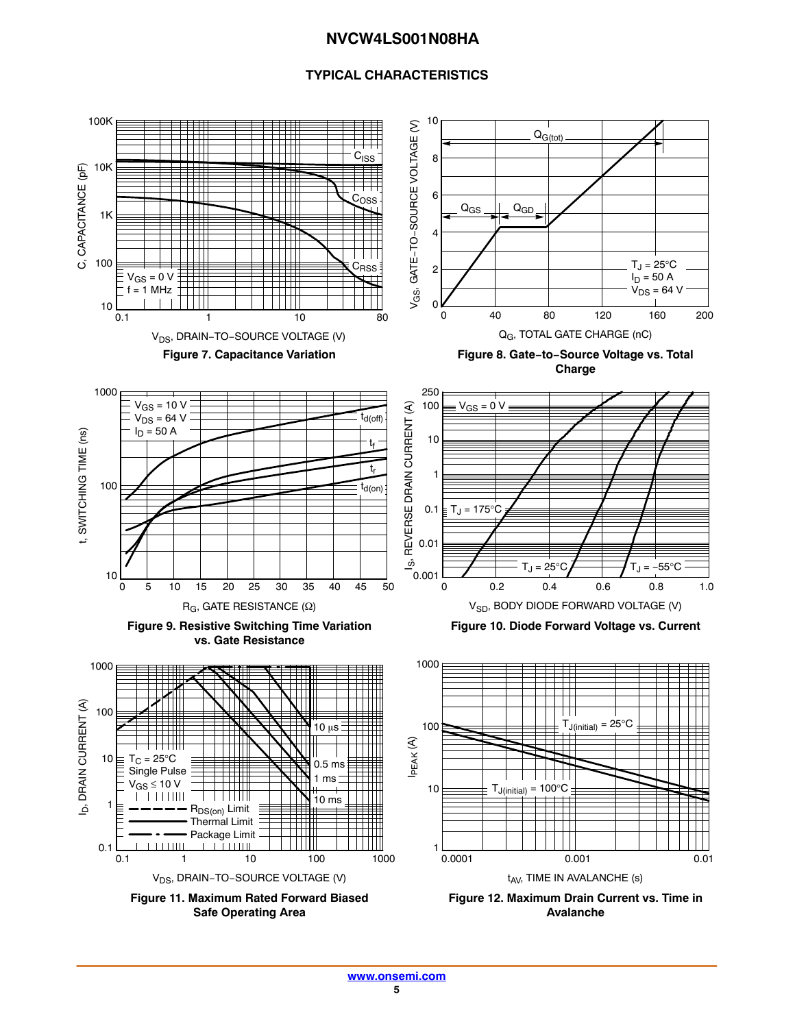## **TYPICAL CHARACTERISTICS**